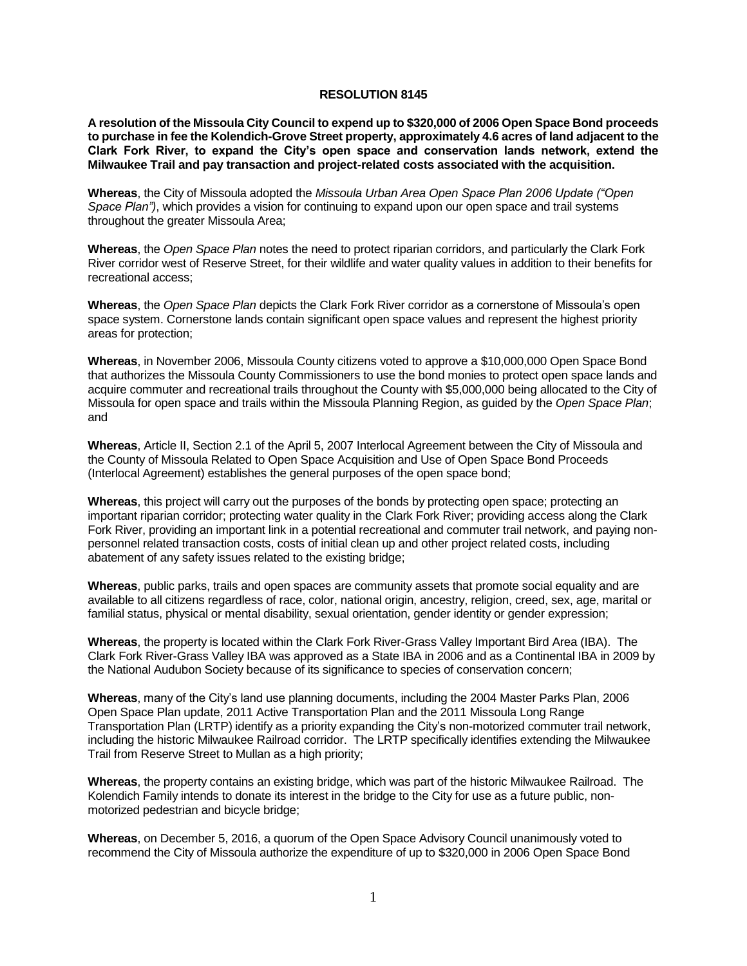## **RESOLUTION 8145**

**A resolution of the Missoula City Council to expend up to \$320,000 of 2006 Open Space Bond proceeds to purchase in fee the Kolendich-Grove Street property, approximately 4.6 acres of land adjacent to the Clark Fork River, to expand the City's open space and conservation lands network, extend the Milwaukee Trail and pay transaction and project-related costs associated with the acquisition.**

**Whereas**, the City of Missoula adopted the *Missoula Urban Area Open Space Plan 2006 Update ("Open Space Plan")*, which provides a vision for continuing to expand upon our open space and trail systems throughout the greater Missoula Area;

**Whereas**, the *Open Space Plan* notes the need to protect riparian corridors, and particularly the Clark Fork River corridor west of Reserve Street, for their wildlife and water quality values in addition to their benefits for recreational access;

**Whereas**, the *Open Space Plan* depicts the Clark Fork River corridor as a cornerstone of Missoula's open space system. Cornerstone lands contain significant open space values and represent the highest priority areas for protection;

**Whereas**, in November 2006, Missoula County citizens voted to approve a \$10,000,000 Open Space Bond that authorizes the Missoula County Commissioners to use the bond monies to protect open space lands and acquire commuter and recreational trails throughout the County with \$5,000,000 being allocated to the City of Missoula for open space and trails within the Missoula Planning Region, as guided by the *Open Space Plan*; and

**Whereas**, Article II, Section 2.1 of the April 5, 2007 Interlocal Agreement between the City of Missoula and the County of Missoula Related to Open Space Acquisition and Use of Open Space Bond Proceeds (Interlocal Agreement) establishes the general purposes of the open space bond;

**Whereas**, this project will carry out the purposes of the bonds by protecting open space; protecting an important riparian corridor; protecting water quality in the Clark Fork River; providing access along the Clark Fork River, providing an important link in a potential recreational and commuter trail network, and paying nonpersonnel related transaction costs, costs of initial clean up and other project related costs, including abatement of any safety issues related to the existing bridge;

**Whereas**, public parks, trails and open spaces are community assets that promote social equality and are available to all citizens regardless of race, color, national origin, ancestry, religion, creed, sex, age, marital or familial status, physical or mental disability, sexual orientation, gender identity or gender expression;

**Whereas**, the property is located within the Clark Fork River-Grass Valley Important Bird Area (IBA). The Clark Fork River-Grass Valley IBA was approved as a State IBA in 2006 and as a Continental IBA in 2009 by the National Audubon Society because of its significance to species of conservation concern;

**Whereas**, many of the City's land use planning documents, including the 2004 Master Parks Plan, 2006 Open Space Plan update, 2011 Active Transportation Plan and the 2011 Missoula Long Range Transportation Plan (LRTP) identify as a priority expanding the City's non-motorized commuter trail network, including the historic Milwaukee Railroad corridor. The LRTP specifically identifies extending the Milwaukee Trail from Reserve Street to Mullan as a high priority;

**Whereas**, the property contains an existing bridge, which was part of the historic Milwaukee Railroad. The Kolendich Family intends to donate its interest in the bridge to the City for use as a future public, nonmotorized pedestrian and bicycle bridge;

**Whereas**, on December 5, 2016, a quorum of the Open Space Advisory Council unanimously voted to recommend the City of Missoula authorize the expenditure of up to \$320,000 in 2006 Open Space Bond